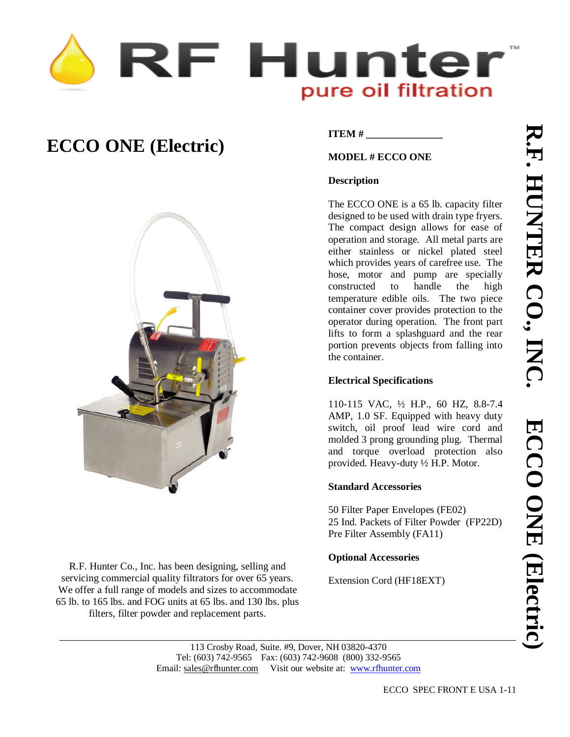

# **ECCO ONE (Electric)**



R.F. Hunter Co., Inc. has been designing, selling and servicing commercial quality filtrators for over 65 years. We offer a full range of models and sizes to accommodate 65 lb. to 165 lbs. and FOG units at 65 lbs. and 130 lbs. plus filters, filter powder and replacement parts.

## **ITEM #**

## **MODEL # ECCO ONE**

#### **Description**

The ECCO ONE is a 65 lb. capacity filter designed to be used with drain type fryers. The compact design allows for ease of operation and storage. All metal parts are either stainless or nickel plated steel which provides years of carefree use. The hose, motor and pump are specially constructed to handle the high temperature edible oils. The two piece container cover provides protection to the operator during operation. The front part lifts to form a splashguard and the rear portion prevents objects from falling into the container.

#### **Electrical Specifications**

110-115 VAC, ½ H.P., 60 HZ, 8.8-7.4 AMP, 1.0 SF. Equipped with heavy duty switch, oil proof lead wire cord and molded 3 prong grounding plug. Thermal and torque overload protection also provided. Heavy-duty ½ H.P. Motor.

#### **Standard Accessories**

50 Filter Paper Envelopes (FE02) 25 Ind. Packets of Filter Powder (FP22D) Pre Filter Assembly (FA11)

## **Optional Accessories**

Extension Cord (HF18EXT)

113 Crosby Road, Suite. #9, Dover, NH 03820-4370 Tel: (603) 742-9565 Fax: (603) 742-9608 (800) 332-9565 Email: sales@rfhunter.com Visit our website at: www.rfhunter.com